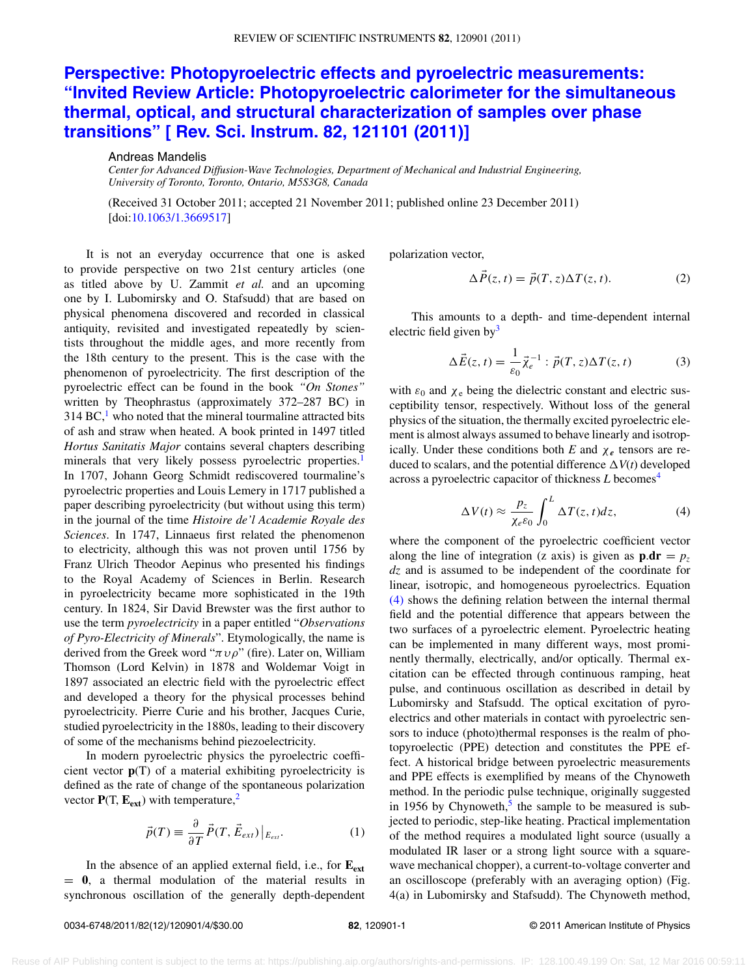## **[Perspective: Photopyroelectric effects and pyroelectric measurements:](http://dx.doi.org/10.1063/1.3669517) ["Invited Review Article: Photopyroelectric calorimeter for the simultaneous](http://dx.doi.org/10.1063/1.3669517) [thermal, optical, and structural characterization of samples over phase](http://dx.doi.org/10.1063/1.3669517) [transitions" \[ Rev. Sci. Instrum. 82, 121101 \(2011\)\]](http://dx.doi.org/10.1063/1.3669517)**

Andreas Mandelis

*Center for Advanced Diffusion-Wave Technologies, Department of Mechanical and Industrial Engineering, University of Toronto, Toronto, Ontario, M5S3G8, Canada*

(Received 31 October 2011; accepted 21 November 2011; published online 23 December 2011) [doi[:10.1063/1.3669517\]](http://dx.doi.org/10.1063/1.3669517)

It is not an everyday occurrence that one is asked to provide perspective on two 21st century articles (one as titled above by U. Zammit *et al.* and an upcoming one by I. Lubomirsky and O. Stafsudd) that are based on physical phenomena discovered and recorded in classical antiquity, revisited and investigated repeatedly by scientists throughout the middle ages, and more recently from the 18th century to the present. This is the case with the phenomenon of pyroelectricity. The first description of the pyroelectric effect can be found in the book *"On Stones"* written by Theophrastus (approximately 372–287 BC) in  $314 \text{ BC}$  $314 \text{ BC}$  $314 \text{ BC}$ , who noted that the mineral tourmaline attracted bits of ash and straw when heated. A book printed in 1497 titled *Hortus Sanitatis Major* contains several chapters describing minerals that very likely possess pyroelectric properties.<sup>1</sup> In 1707, Johann Georg Schmidt rediscovered tourmaline's pyroelectric properties and Louis Lemery in 1717 published a paper describing pyroelectricity (but without using this term) in the journal of the time *Histoire de'l Academie Royale des Sciences*. In 1747, Linnaeus first related the phenomenon to electricity, although this was not proven until 1756 by Franz Ulrich Theodor Aepinus who presented his findings to the Royal Academy of Sciences in Berlin. Research in pyroelectricity became more sophisticated in the 19th century. In 1824, Sir David Brewster was the first author to use the term *pyroelectricity* in a paper entitled "*Observations of Pyro-Electricity of Minerals*". Etymologically, the name is derived from the Greek word " $\pi v \rho$ " (fire). Later on, William Thomson (Lord Kelvin) in 1878 and Woldemar Voigt in 1897 associated an electric field with the pyroelectric effect and developed a theory for the physical processes behind pyroelectricity. Pierre Curie and his brother, Jacques Curie, studied pyroelectricity in the 1880s, leading to their discovery of some of the mechanisms behind piezoelectricity.

In modern pyroelectric physics the pyroelectric coefficient vector **p**(T) of a material exhibiting pyroelectricity is defined as the rate of change of the spontaneous polarization vector  $P(T, E_{ext})$  with temperature,<sup>[2](#page-2-1)</sup>

$$
\vec{p}(T) \equiv \frac{\partial}{\partial T} \vec{P}(T, \vec{E}_{ext}) \Big|_{E_{ext}}.
$$
 (1)

In the absence of an applied external field, i.e., for  $E_{ext}$ = **0**, a thermal modulation of the material results in synchronous oscillation of the generally depth-dependent polarization vector,

$$
\Delta \vec{P}(z,t) = \vec{p}(T,z)\Delta T(z,t). \tag{2}
$$

This amounts to a depth- and time-dependent internal electric field given by $3$ 

$$
\Delta \vec{E}(z,t) = \frac{1}{\varepsilon_0} \vec{\chi}_e^{-1} : \vec{p}(T,z) \Delta T(z,t)
$$
 (3)

with  $\varepsilon_0$  and  $\chi_e$  being the dielectric constant and electric susceptibility tensor, respectively. Without loss of the general physics of the situation, the thermally excited pyroelectric element is almost always assumed to behave linearly and isotropically. Under these conditions both  $E$  and  $\chi_e$  tensors are reduced to scalars, and the potential difference  $\Delta V(t)$  developed across a pyroelectric capacitor of thickness *L* becomes<sup>[4](#page-2-3)</sup>

<span id="page-0-0"></span>
$$
\Delta V(t) \approx \frac{p_z}{\chi_e \varepsilon_0} \int_0^L \Delta T(z, t) dz, \tag{4}
$$

where the component of the pyroelectric coefficient vector along the line of integration (z axis) is given as  $\mathbf{p} \cdot \mathbf{dr} = p_z$ *dz* and is assumed to be independent of the coordinate for linear, isotropic, and homogeneous pyroelectrics. Equation [\(4\)](#page-0-0) shows the defining relation between the internal thermal field and the potential difference that appears between the two surfaces of a pyroelectric element. Pyroelectric heating can be implemented in many different ways, most prominently thermally, electrically, and/or optically. Thermal excitation can be effected through continuous ramping, heat pulse, and continuous oscillation as described in detail by Lubomirsky and Stafsudd. The optical excitation of pyroelectrics and other materials in contact with pyroelectric sensors to induce (photo)thermal responses is the realm of photopyroelectic (PPE) detection and constitutes the PPE effect. A historical bridge between pyroelectric measurements and PPE effects is exemplified by means of the Chynoweth method. In the periodic pulse technique, originally suggested in 19[5](#page-2-4)6 by Chynoweth,<sup>5</sup> the sample to be measured is subjected to periodic, step-like heating. Practical implementation of the method requires a modulated light source (usually a modulated IR laser or a strong light source with a squarewave mechanical chopper), a current-to-voltage converter and an oscilloscope (preferably with an averaging option) (Fig. 4(a) in Lubomirsky and Stafsudd). The Chynoweth method,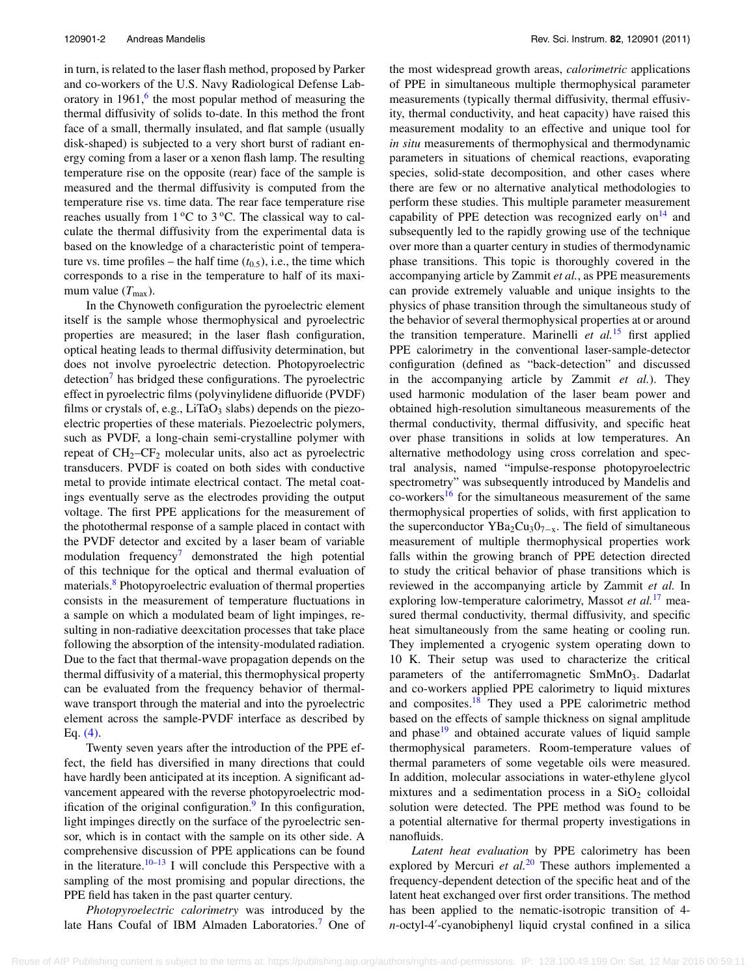in turn, is related to the laser flash method, proposed by Parker and co-workers of the U.S. Navy Radiological Defense Laboratory in  $1961<sup>6</sup>$  $1961<sup>6</sup>$  $1961<sup>6</sup>$ , the most popular method of measuring the thermal diffusivity of solids to-date. In this method the front face of a small, thermally insulated, and flat sample (usually disk-shaped) is subjected to a very short burst of radiant energy coming from a laser or a xenon flash lamp. The resulting temperature rise on the opposite (rear) face of the sample is measured and the thermal diffusivity is computed from the temperature rise vs. time data. The rear face temperature rise reaches usually from  $1^{\circ}$ C to  $3^{\circ}$ C. The classical way to calculate the thermal diffusivity from the experimental data is based on the knowledge of a characteristic point of temperature vs. time profiles – the half time  $(t_{0.5})$ , i.e., the time which corresponds to a rise in the temperature to half of its maximum value ( $T_{\text{max}}$ ).

In the Chynoweth configuration the pyroelectric element itself is the sample whose thermophysical and pyroelectric properties are measured; in the laser flash configuration, optical heating leads to thermal diffusivity determination, but does not involve pyroelectric detection. Photopyroelectric detection<sup>7</sup> has bridged these configurations. The pyroelectric effect in pyroelectric films (polyvinylidene difluoride (PVDF) films or crystals of, e.g.,  $LiTaO<sub>3</sub>$  slabs) depends on the piezoelectric properties of these materials. Piezoelectric polymers, such as PVDF, a long-chain semi-crystalline polymer with repeat of  $CH_2-CF_2$  molecular units, also act as pyroelectric transducers. PVDF is coated on both sides with conductive metal to provide intimate electrical contact. The metal coatings eventually serve as the electrodes providing the output voltage. The first PPE applications for the measurement of the photothermal response of a sample placed in contact with the PVDF detector and excited by a laser beam of variable modulation frequency $\theta$  demonstrated the high potential of this technique for the optical and thermal evaluation of materials.<sup>[8](#page-2-7)</sup> Photopyroelectric evaluation of thermal properties consists in the measurement of temperature fluctuations in a sample on which a modulated beam of light impinges, resulting in non-radiative deexcitation processes that take place following the absorption of the intensity-modulated radiation. Due to the fact that thermal-wave propagation depends on the thermal diffusivity of a material, this thermophysical property can be evaluated from the frequency behavior of thermalwave transport through the material and into the pyroelectric element across the sample-PVDF interface as described by Eq. [\(4\).](#page-0-0)

Twenty seven years after the introduction of the PPE effect, the field has diversified in many directions that could have hardly been anticipated at its inception. A significant advancement appeared with the reverse photopyroelectric mod-ification of the original configuration.<sup>[9](#page-2-8)</sup> In this configuration, light impinges directly on the surface of the pyroelectric sensor, which is in contact with the sample on its other side. A comprehensive discussion of PPE applications can be found in the literature.<sup>[10–](#page-3-0)[13](#page-3-1)</sup> I will conclude this Perspective with a sampling of the most promising and popular directions, the PPE field has taken in the past quarter century.

*Photopyroelectric calorimetry* was introduced by the late Hans Coufal of IBM Almaden Laboratories.<sup>[7](#page-2-6)</sup> One of the most widespread growth areas, *calorimetric* applications of PPE in simultaneous multiple thermophysical parameter measurements (typically thermal diffusivity, thermal effusivity, thermal conductivity, and heat capacity) have raised this measurement modality to an effective and unique tool for *in situ* measurements of thermophysical and thermodynamic parameters in situations of chemical reactions, evaporating species, solid-state decomposition, and other cases where there are few or no alternative analytical methodologies to perform these studies. This multiple parameter measurement capability of PPE detection was recognized early on $14$  and subsequently led to the rapidly growing use of the technique over more than a quarter century in studies of thermodynamic phase transitions. This topic is thoroughly covered in the accompanying article by Zammit *et al.*, as PPE measurements can provide extremely valuable and unique insights to the physics of phase transition through the simultaneous study of the behavior of several thermophysical properties at or around the transition temperature. Marinelli *et al.*[15](#page-3-3) first applied PPE calorimetry in the conventional laser-sample-detector configuration (defined as "back-detection" and discussed in the accompanying article by Zammit *et al.*). They used harmonic modulation of the laser beam power and obtained high-resolution simultaneous measurements of the thermal conductivity, thermal diffusivity, and specific heat over phase transitions in solids at low temperatures. An alternative methodology using cross correlation and spectral analysis, named "impulse-response photopyroelectric spectrometry" was subsequently introduced by Mandelis and co-workers<sup>16</sup> for the simultaneous measurement of the same thermophysical properties of solids, with first application to the superconductor  $YBa<sub>2</sub>Cu<sub>3</sub>0<sub>7-x</sub>$ . The field of simultaneous measurement of multiple thermophysical properties work falls within the growing branch of PPE detection directed to study the critical behavior of phase transitions which is reviewed in the accompanying article by Zammit *et al.* In exploring low-temperature calorimetry, Massot *et al.*[17](#page-3-5) measured thermal conductivity, thermal diffusivity, and specific heat simultaneously from the same heating or cooling run. They implemented a cryogenic system operating down to 10 K. Their setup was used to characterize the critical parameters of the antiferromagnetic SmMnO<sub>3</sub>. Dadarlat and co-workers applied PPE calorimetry to liquid mixtures and composites.<sup>18</sup> They used a PPE calorimetric method based on the effects of sample thickness on signal amplitude and phase $19$  and obtained accurate values of liquid sample thermophysical parameters. Room-temperature values of thermal parameters of some vegetable oils were measured. In addition, molecular associations in water-ethylene glycol mixtures and a sedimentation process in a  $SiO<sub>2</sub>$  colloidal solution were detected. The PPE method was found to be a potential alternative for thermal property investigations in nanofluids.

*Latent heat evaluation* by PPE calorimetry has been explored by Mercuri *et al.*<sup>[20](#page-3-8)</sup> These authors implemented a frequency-dependent detection of the specific heat and of the latent heat exchanged over first order transitions. The method has been applied to the nematic-isotropic transition of 4 *n*-octyl-4 -cyanobiphenyl liquid crystal confined in a silica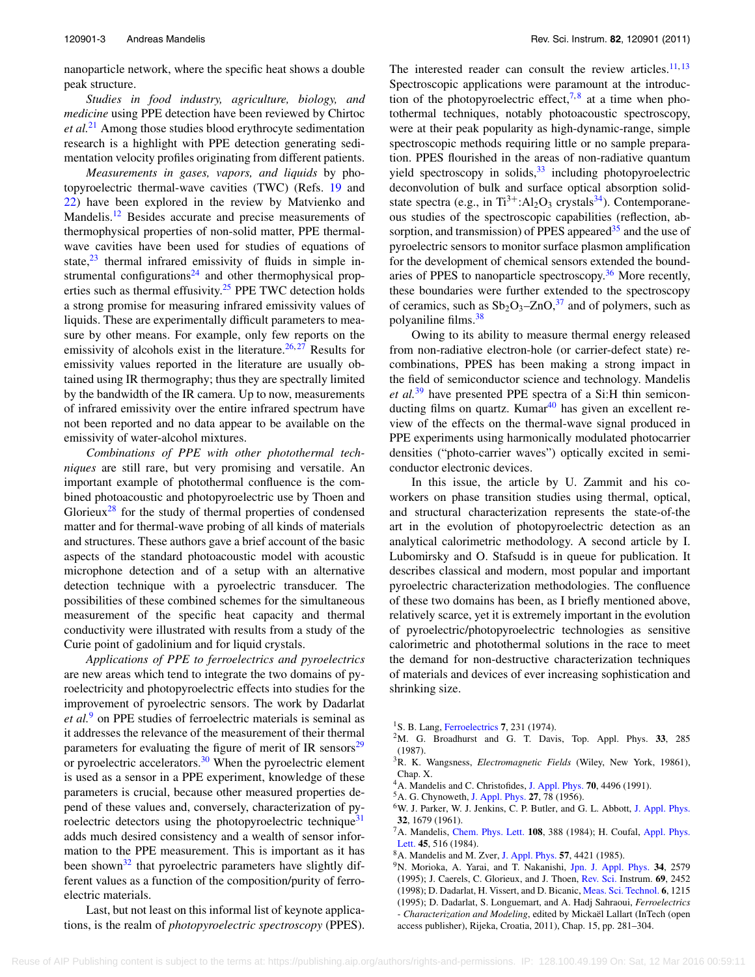nanoparticle network, where the specific heat shows a double peak structure.

*Studies in food industry, agriculture, biology, and medicine* using PPE detection have been reviewed by Chirtoc *et al.*[21](#page-3-9) Among those studies blood erythrocyte sedimentation research is a highlight with PPE detection generating sedimentation velocity profiles originating from different patients.

*Measurements in gases, vapors, and liquids* by photopyroelectric thermal-wave cavities (TWC) (Refs. [19](#page-3-7) and [22\)](#page-3-10) have been explored in the review by Matvienko and Mandelis.<sup>12</sup> Besides accurate and precise measurements of thermophysical properties of non-solid matter, PPE thermalwave cavities have been used for studies of equations of state, $23$  thermal infrared emissivity of fluids in simple instrumental configurations $24$  and other thermophysical prop-erties such as thermal effusivity.<sup>[25](#page-3-14)</sup> PPE TWC detection holds a strong promise for measuring infrared emissivity values of liquids. These are experimentally difficult parameters to measure by other means. For example, only few reports on the emissivity of alcohols exist in the literature.<sup>26, [27](#page-3-16)</sup> Results for emissivity values reported in the literature are usually obtained using IR thermography; thus they are spectrally limited by the bandwidth of the IR camera. Up to now, measurements of infrared emissivity over the entire infrared spectrum have not been reported and no data appear to be available on the emissivity of water-alcohol mixtures.

*Combinations of PPE with other photothermal techniques* are still rare, but very promising and versatile. An important example of photothermal confluence is the combined photoacoustic and photopyroelectric use by Thoen and Glorieux $^{28}$  for the study of thermal properties of condensed matter and for thermal-wave probing of all kinds of materials and structures. These authors gave a brief account of the basic aspects of the standard photoacoustic model with acoustic microphone detection and of a setup with an alternative detection technique with a pyroelectric transducer. The possibilities of these combined schemes for the simultaneous measurement of the specific heat capacity and thermal conductivity were illustrated with results from a study of the Curie point of gadolinium and for liquid crystals.

*Applications of PPE to ferroelectrics and pyroelectrics* are new areas which tend to integrate the two domains of pyroelectricity and photopyroelectric effects into studies for the improvement of pyroelectric sensors. The work by Dadarlat *et al.*[9](#page-2-8) on PPE studies of ferroelectric materials is seminal as it addresses the relevance of the measurement of their thermal parameters for evaluating the figure of merit of IR sensors $^{29}$ or pyroelectric accelerators.<sup>[30](#page-3-19)</sup> When the pyroelectric element is used as a sensor in a PPE experiment, knowledge of these parameters is crucial, because other measured properties depend of these values and, conversely, characterization of py-roelectric detectors using the photopyroelectric technique<sup>[31](#page-3-20)</sup> adds much desired consistency and a wealth of sensor information to the PPE measurement. This is important as it has been shown<sup>32</sup> that pyroelectric parameters have slightly different values as a function of the composition/purity of ferroelectric materials.

Last, but not least on this informal list of keynote applications, is the realm of *photopyroelectric spectroscopy* (PPES). The interested reader can consult the review articles.<sup>11, [13](#page-3-1)</sup> Spectroscopic applications were paramount at the introduction of the photopyroelectric effect,  $7, 8$  $7, 8$  $7, 8$  at a time when photothermal techniques, notably photoacoustic spectroscopy, were at their peak popularity as high-dynamic-range, simple spectroscopic methods requiring little or no sample preparation. PPES flourished in the areas of non-radiative quantum yield spectroscopy in solids, $33$  including photopyroelectric deconvolution of bulk and surface optical absorption solidstate spectra (e.g., in  $Ti^{3+}$ :Al<sub>2</sub>O<sub>3</sub> crystals<sup>34</sup>). Contemporaneous studies of the spectroscopic capabilities (reflection, absorption, and transmission) of PPES appeared $35$  and the use of pyroelectric sensors to monitor surface plasmon amplification for the development of chemical sensors extended the boundaries of PPES to nanoparticle spectroscopy.<sup>36</sup> More recently, these boundaries were further extended to the spectroscopy of ceramics, such as  $Sb_2O_3$ -ZnO,<sup>[37](#page-3-27)</sup> and of polymers, such as polyaniline films.<sup>[38](#page-3-28)</sup>

Owing to its ability to measure thermal energy released from non-radiative electron-hole (or carrier-defect state) recombinations, PPES has been making a strong impact in the field of semiconductor science and technology. Mandelis *et al.*[39](#page-3-29) have presented PPE spectra of a Si:H thin semiconducting films on quartz. Kumar $40$  has given an excellent review of the effects on the thermal-wave signal produced in PPE experiments using harmonically modulated photocarrier densities ("photo-carrier waves") optically excited in semiconductor electronic devices.

In this issue, the article by U. Zammit and his coworkers on phase transition studies using thermal, optical, and structural characterization represents the state-of-the art in the evolution of photopyroelectric detection as an analytical calorimetric methodology. A second article by I. Lubomirsky and O. Stafsudd is in queue for publication. It describes classical and modern, most popular and important pyroelectric characterization methodologies. The confluence of these two domains has been, as I briefly mentioned above, relatively scarce, yet it is extremely important in the evolution of pyroelectric/photopyroelectric technologies as sensitive calorimetric and photothermal solutions in the race to meet the demand for non-destructive characterization techniques of materials and devices of ever increasing sophistication and shrinking size.

- 2M. G. Broadhurst and G. T. Davis, Top. Appl. Phys. **33**, 285 (1987).
- <span id="page-2-2"></span>3R. K. Wangsness, *Electromagnetic Fields* (Wiley, New York, 19861), Chap. X.
- <span id="page-2-4"></span><span id="page-2-3"></span>4A. Mandelis and C. Christofides, [J. Appl. Phys.](http://dx.doi.org/10.1063/1.349084) **70**, 4496 (1991).
- <span id="page-2-5"></span>5A. G. Chynoweth, [J. Appl. Phys.](http://dx.doi.org/10.1063/1.1722201) **27**, 78 (1956).
- 6W. J. Parker, W. J. Jenkins, C. P. Butler, and G. L. Abbott, [J. Appl. Phys.](http://dx.doi.org/10.1063/1.1728417) **32**, 1679 (1961).
- <span id="page-2-6"></span>7A. Mandelis, [Chem. Phys. Lett.](http://dx.doi.org/10.1016/0009-2614(84)85212-4) **108**, 388 (1984); H. Coufal, [Appl. Phys.](http://dx.doi.org/10.1063/1.95298) [Lett.](http://dx.doi.org/10.1063/1.95298) **45**, 516 (1984).
- <span id="page-2-8"></span><span id="page-2-7"></span>8A. Mandelis and M. Zver, [J. Appl. Phys.](http://dx.doi.org/10.1063/1.334565) **57**, 4421 (1985).
- 9N. Morioka, A. Yarai, and T. Nakanishi, [Jpn. J. Appl. Phys.](http://dx.doi.org/10.1143/JJAP.34.2579) **34**, 2579 (1995); J. Caerels, C. Glorieux, and J. Thoen, [Rev. Sci.](http://dx.doi.org/10.1063/1.1148973) Instrum. **69**, 2452 (1998); D. Dadarlat, H. Vissert, and D. Bicanic, [Meas. Sci. Technol.](http://dx.doi.org/10.1088/0957-0233/6/8/018) **6**, 1215 (1995); D. Dadarlat, S. Longuemart, and A. Hadj Sahraoui, *Ferroelectrics - Characterization and Modeling*, edited by Mickaël Lallart (InTech (open access publisher), Rijeka, Croatia, 2011), Chap. 15, pp. 281–304.

<span id="page-2-1"></span><span id="page-2-0"></span><sup>1</sup>S. B. Lang, [Ferroelectrics](http://dx.doi.org/10.1080/00150197408238004) **7**, 231 (1974).